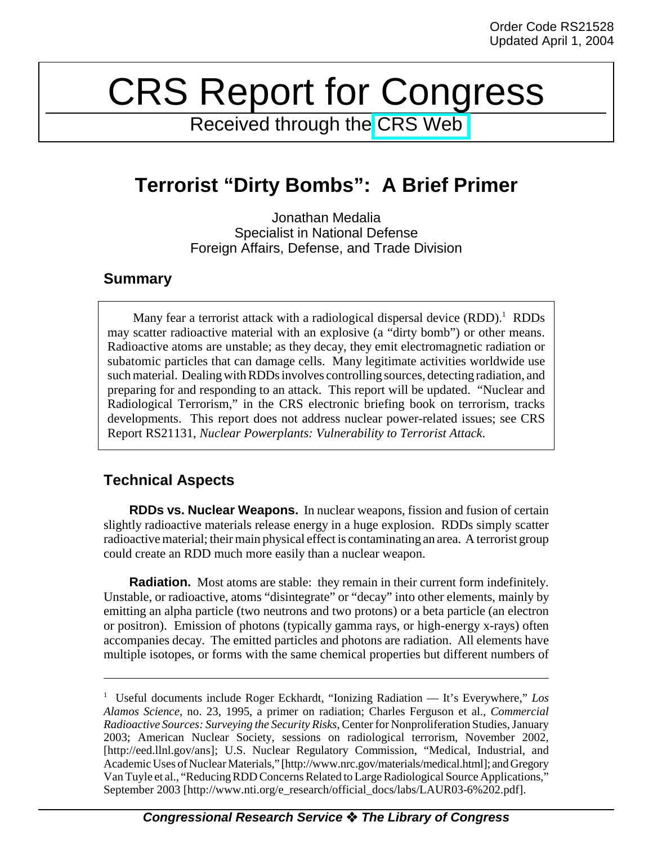# CRS Report for Congress

Received through the [CRS Web](http://www.fas.org/spp/starwars/crs/index.html)

# **Terrorist "Dirty Bombs": A Brief Primer**

Jonathan Medalia Specialist in National Defense Foreign Affairs, Defense, and Trade Division

## **Summary**

Many fear a terrorist attack with a radiological dispersal device  $(RDD)$ .<sup>1</sup> RDDs may scatter radioactive material with an explosive (a "dirty bomb") or other means. Radioactive atoms are unstable; as they decay, they emit electromagnetic radiation or subatomic particles that can damage cells. Many legitimate activities worldwide use such material. Dealing with RDDs involves controlling sources, detecting radiation, and preparing for and responding to an attack. This report will be updated. "Nuclear and Radiological Terrorism," in the CRS electronic briefing book on terrorism, tracks developments. This report does not address nuclear power-related issues; see CRS Report RS21131, *Nuclear Powerplants: Vulnerability to Terrorist Attack*.

# **Technical Aspects**

**RDDs vs. Nuclear Weapons.** In nuclear weapons, fission and fusion of certain slightly radioactive materials release energy in a huge explosion. RDDs simply scatter radioactive material; their main physical effect is contaminating an area. A terrorist group could create an RDD much more easily than a nuclear weapon.

**Radiation.** Most atoms are stable: they remain in their current form indefinitely. Unstable, or radioactive, atoms "disintegrate" or "decay" into other elements, mainly by emitting an alpha particle (two neutrons and two protons) or a beta particle (an electron or positron). Emission of photons (typically gamma rays, or high-energy x-rays) often accompanies decay. The emitted particles and photons are radiation. All elements have multiple isotopes, or forms with the same chemical properties but different numbers of

<sup>1</sup> Useful documents include Roger Eckhardt, "Ionizing Radiation — It's Everywhere," *Los Alamos Science,* no. 23, 1995, a primer on radiation; Charles Ferguson et al., *Commercial Radioactive Sources: Surveying the Security Risks,* Center for Nonproliferation Studies, January 2003; American Nuclear Society, sessions on radiological terrorism, November 2002, [http://eed.llnl.gov/ans]; U.S. Nuclear Regulatory Commission, "Medical, Industrial, and Academic Uses of Nuclear Materials," [http://www.nrc.gov/materials/medical.html]; and Gregory Van Tuyle et al., "Reducing RDD Concerns Related to Large Radiological Source Applications," September 2003 [http://www.nti.org/e\_research/official\_docs/labs/LAUR03-6%202.pdf].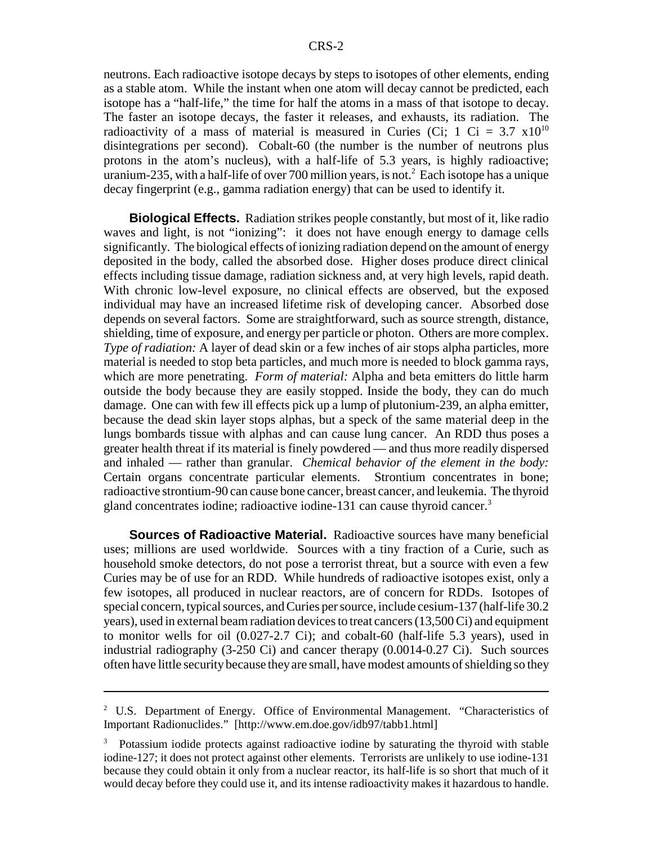neutrons. Each radioactive isotope decays by steps to isotopes of other elements, ending as a stable atom. While the instant when one atom will decay cannot be predicted, each isotope has a "half-life," the time for half the atoms in a mass of that isotope to decay. The faster an isotope decays, the faster it releases, and exhausts, its radiation. The radioactivity of a mass of material is measured in Curies (Ci; 1 Ci =  $3.7 \times 10^{10}$ disintegrations per second). Cobalt-60 (the number is the number of neutrons plus protons in the atom's nucleus), with a half-life of 5.3 years, is highly radioactive; uranium-235, with a half-life of over 700 million years, is not.<sup>2</sup> Each isotope has a unique decay fingerprint (e.g., gamma radiation energy) that can be used to identify it.

**Biological Effects.** Radiation strikes people constantly, but most of it, like radio waves and light, is not "ionizing": it does not have enough energy to damage cells significantly. The biological effects of ionizing radiation depend on the amount of energy deposited in the body, called the absorbed dose. Higher doses produce direct clinical effects including tissue damage, radiation sickness and, at very high levels, rapid death. With chronic low-level exposure, no clinical effects are observed, but the exposed individual may have an increased lifetime risk of developing cancer. Absorbed dose depends on several factors. Some are straightforward, such as source strength, distance, shielding, time of exposure, and energy per particle or photon. Others are more complex. *Type of radiation:* A layer of dead skin or a few inches of air stops alpha particles, more material is needed to stop beta particles, and much more is needed to block gamma rays, which are more penetrating. *Form of material:* Alpha and beta emitters do little harm outside the body because they are easily stopped. Inside the body, they can do much damage. One can with few ill effects pick up a lump of plutonium-239, an alpha emitter, because the dead skin layer stops alphas, but a speck of the same material deep in the lungs bombards tissue with alphas and can cause lung cancer. An RDD thus poses a greater health threat if its material is finely powdered — and thus more readily dispersed and inhaled — rather than granular. *Chemical behavior of the element in the body:* Certain organs concentrate particular elements. Strontium concentrates in bone; radioactive strontium-90 can cause bone cancer, breast cancer, and leukemia. The thyroid gland concentrates iodine; radioactive iodine-131 can cause thyroid cancer.<sup>3</sup>

**Sources of Radioactive Material.** Radioactive sources have many beneficial uses; millions are used worldwide. Sources with a tiny fraction of a Curie, such as household smoke detectors, do not pose a terrorist threat, but a source with even a few Curies may be of use for an RDD. While hundreds of radioactive isotopes exist, only a few isotopes, all produced in nuclear reactors, are of concern for RDDs. Isotopes of special concern, typical sources, and Curies per source, include cesium-137 (half-life 30.2 years), used in external beam radiation devices to treat cancers (13,500 Ci) and equipment to monitor wells for oil (0.027-2.7 Ci); and cobalt-60 (half-life 5.3 years), used in industrial radiography (3-250 Ci) and cancer therapy (0.0014-0.27 Ci). Such sources often have little security because they are small, have modest amounts of shielding so they

<sup>&</sup>lt;sup>2</sup> U.S. Department of Energy. Office of Environmental Management. "Characteristics of Important Radionuclides." [http://www.em.doe.gov/idb97/tabb1.html]

<sup>3</sup> Potassium iodide protects against radioactive iodine by saturating the thyroid with stable iodine-127; it does not protect against other elements. Terrorists are unlikely to use iodine-131 because they could obtain it only from a nuclear reactor, its half-life is so short that much of it would decay before they could use it, and its intense radioactivity makes it hazardous to handle.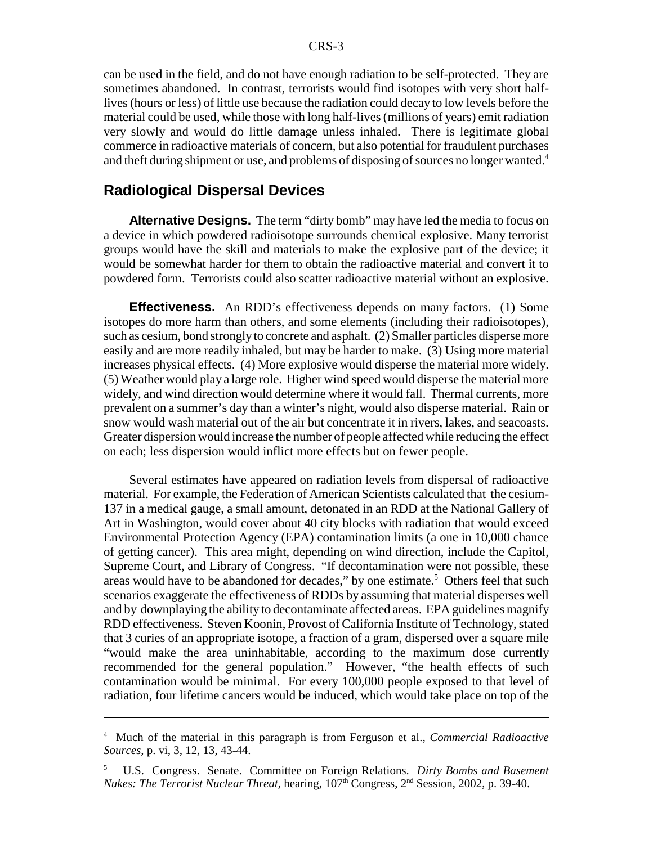can be used in the field, and do not have enough radiation to be self-protected. They are sometimes abandoned. In contrast, terrorists would find isotopes with very short halflives (hours or less) of little use because the radiation could decay to low levels before the material could be used, while those with long half-lives (millions of years) emit radiation very slowly and would do little damage unless inhaled. There is legitimate global commerce in radioactive materials of concern, but also potential for fraudulent purchases and theft during shipment or use, and problems of disposing of sources no longer wanted.<sup>4</sup>

#### **Radiological Dispersal Devices**

**Alternative Designs.** The term "dirty bomb" may have led the media to focus on a device in which powdered radioisotope surrounds chemical explosive. Many terrorist groups would have the skill and materials to make the explosive part of the device; it would be somewhat harder for them to obtain the radioactive material and convert it to powdered form. Terrorists could also scatter radioactive material without an explosive.

**Effectiveness.** An RDD's effectiveness depends on many factors. (1) Some isotopes do more harm than others, and some elements (including their radioisotopes), such as cesium, bond strongly to concrete and asphalt. (2) Smaller particles disperse more easily and are more readily inhaled, but may be harder to make. (3) Using more material increases physical effects. (4) More explosive would disperse the material more widely. (5) Weather would play a large role. Higher wind speed would disperse the material more widely, and wind direction would determine where it would fall. Thermal currents, more prevalent on a summer's day than a winter's night, would also disperse material. Rain or snow would wash material out of the air but concentrate it in rivers, lakes, and seacoasts. Greater dispersion would increase the number of people affected while reducing the effect on each; less dispersion would inflict more effects but on fewer people.

Several estimates have appeared on radiation levels from dispersal of radioactive material. For example, the Federation of American Scientists calculated that the cesium-137 in a medical gauge, a small amount, detonated in an RDD at the National Gallery of Art in Washington, would cover about 40 city blocks with radiation that would exceed Environmental Protection Agency (EPA) contamination limits (a one in 10,000 chance of getting cancer). This area might, depending on wind direction, include the Capitol, Supreme Court, and Library of Congress. "If decontamination were not possible, these areas would have to be abandoned for decades," by one estimate.<sup>5</sup> Others feel that such scenarios exaggerate the effectiveness of RDDs by assuming that material disperses well and by downplaying the ability to decontaminate affected areas. EPA guidelines magnify RDD effectiveness. Steven Koonin, Provost of California Institute of Technology, stated that 3 curies of an appropriate isotope, a fraction of a gram, dispersed over a square mile "would make the area uninhabitable, according to the maximum dose currently recommended for the general population." However, "the health effects of such contamination would be minimal. For every 100,000 people exposed to that level of radiation, four lifetime cancers would be induced, which would take place on top of the

<sup>4</sup> Much of the material in this paragraph is from Ferguson et al., *Commercial Radioactive Sources*, p. vi, 3, 12, 13, 43-44.

<sup>5</sup> U.S. Congress. Senate. Committee on Foreign Relations. *Dirty Bombs and Basement Nukes: The Terrorist Nuclear Threat, hearing, 107<sup>th</sup> Congress, 2<sup>nd</sup> Session, 2002, p. 39-40.*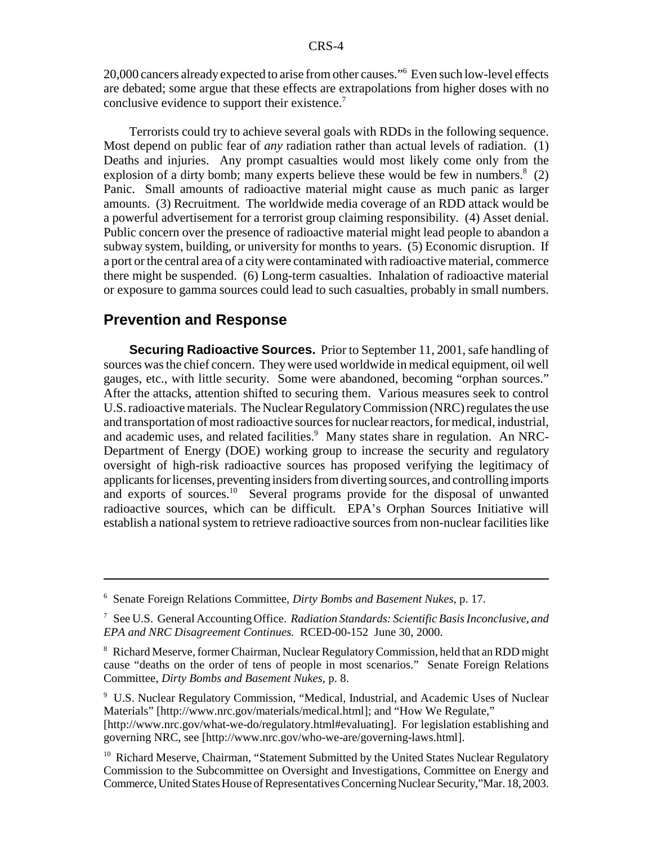20,000 cancers already expected to arise from other causes."6 Even such low-level effects are debated; some argue that these effects are extrapolations from higher doses with no conclusive evidence to support their existence.<sup>7</sup>

Terrorists could try to achieve several goals with RDDs in the following sequence. Most depend on public fear of *any* radiation rather than actual levels of radiation. (1) Deaths and injuries. Any prompt casualties would most likely come only from the explosion of a dirty bomb; many experts believe these would be few in numbers. $8(2)$ Panic. Small amounts of radioactive material might cause as much panic as larger amounts. (3) Recruitment. The worldwide media coverage of an RDD attack would be a powerful advertisement for a terrorist group claiming responsibility. (4) Asset denial. Public concern over the presence of radioactive material might lead people to abandon a subway system, building, or university for months to years. (5) Economic disruption. If a port or the central area of a city were contaminated with radioactive material, commerce there might be suspended. (6) Long-term casualties. Inhalation of radioactive material or exposure to gamma sources could lead to such casualties, probably in small numbers.

### **Prevention and Response**

**Securing Radioactive Sources.** Prior to September 11, 2001, safe handling of sources was the chief concern. They were used worldwide in medical equipment, oil well gauges, etc., with little security. Some were abandoned, becoming "orphan sources." After the attacks, attention shifted to securing them. Various measures seek to control U.S. radioactive materials. The Nuclear Regulatory Commission (NRC) regulates the use and transportation of most radioactive sources for nuclear reactors, for medical, industrial, and academic uses, and related facilities.<sup>9</sup> Many states share in regulation. An NRC-Department of Energy (DOE) working group to increase the security and regulatory oversight of high-risk radioactive sources has proposed verifying the legitimacy of applicants for licenses, preventing insiders from diverting sources, and controlling imports and exports of sources.<sup>10</sup> Several programs provide for the disposal of unwanted radioactive sources, which can be difficult. EPA's Orphan Sources Initiative will establish a national system to retrieve radioactive sources from non-nuclear facilities like

<sup>6</sup> Senate Foreign Relations Committee, *Dirty Bombs and Basement Nukes,* p. 17.

<sup>7</sup> See U.S. General Accounting Office. *Radiation Standards: Scientific Basis Inconclusive, and EPA and NRC Disagreement Continues.* RCED-00-152 June 30, 2000.

<sup>&</sup>lt;sup>8</sup> Richard Meserve, former Chairman, Nuclear Regulatory Commission, held that an RDD might cause "deaths on the order of tens of people in most scenarios." Senate Foreign Relations Committee, *Dirty Bombs and Basement Nukes*, p. 8.

<sup>&</sup>lt;sup>9</sup> U.S. Nuclear Regulatory Commission, "Medical, Industrial, and Academic Uses of Nuclear Materials" [http://www.nrc.gov/materials/medical.html]; and "How We Regulate,"

<sup>[</sup>http://www.nrc.gov/what-we-do/regulatory.html#evaluating]. For legislation establishing and governing NRC, see [http://www.nrc.gov/who-we-are/governing-laws.html].

<sup>&</sup>lt;sup>10</sup> Richard Meserve, Chairman, "Statement Submitted by the United States Nuclear Regulatory Commission to the Subcommittee on Oversight and Investigations, Committee on Energy and Commerce, United States House of Representatives Concerning Nuclear Security,"Mar. 18, 2003.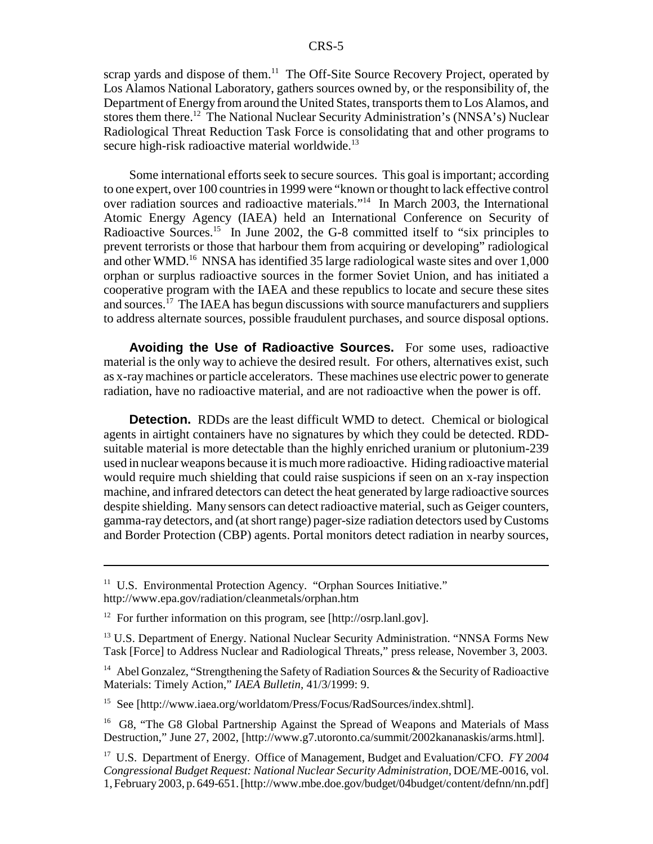scrap yards and dispose of them.<sup>11</sup> The Off-Site Source Recovery Project, operated by Los Alamos National Laboratory, gathers sources owned by, or the responsibility of, the Department of Energy from around the United States, transports them to Los Alamos, and stores them there.12 The National Nuclear Security Administration's (NNSA's) Nuclear Radiological Threat Reduction Task Force is consolidating that and other programs to secure high-risk radioactive material worldwide.<sup>13</sup>

Some international efforts seek to secure sources. This goal is important; according to one expert, over 100 countries in 1999 were "known or thought to lack effective control over radiation sources and radioactive materials."14 In March 2003, the International Atomic Energy Agency (IAEA) held an International Conference on Security of Radioactive Sources.<sup>15</sup> In June 2002, the G-8 committed itself to "six principles to prevent terrorists or those that harbour them from acquiring or developing" radiological and other WMD.<sup>16</sup> NNSA has identified 35 large radiological waste sites and over 1,000 orphan or surplus radioactive sources in the former Soviet Union, and has initiated a cooperative program with the IAEA and these republics to locate and secure these sites and sources.<sup>17</sup> The IAEA has begun discussions with source manufacturers and suppliers to address alternate sources, possible fraudulent purchases, and source disposal options.

**Avoiding the Use of Radioactive Sources.** For some uses, radioactive material is the only way to achieve the desired result. For others, alternatives exist, such as x-ray machines or particle accelerators. These machines use electric power to generate radiation, have no radioactive material, and are not radioactive when the power is off.

**Detection.** RDDs are the least difficult WMD to detect. Chemical or biological agents in airtight containers have no signatures by which they could be detected. RDDsuitable material is more detectable than the highly enriched uranium or plutonium-239 used in nuclear weapons because it is much more radioactive. Hiding radioactive material would require much shielding that could raise suspicions if seen on an x-ray inspection machine, and infrared detectors can detect the heat generated by large radioactive sources despite shielding. Many sensors can detect radioactive material, such as Geiger counters, gamma-ray detectors, and (at short range) pager-size radiation detectors used by Customs and Border Protection (CBP) agents. Portal monitors detect radiation in nearby sources,

15 See [http://www.iaea.org/worldatom/Press/Focus/RadSources/index.shtml].

<sup>&</sup>lt;sup>11</sup> U.S. Environmental Protection Agency. "Orphan Sources Initiative." http://www.epa.gov/radiation/cleanmetals/orphan.htm

<sup>&</sup>lt;sup>12</sup> For further information on this program, see [http://osrp.lanl.gov].

<sup>&</sup>lt;sup>13</sup> U.S. Department of Energy. National Nuclear Security Administration. "NNSA Forms New Task [Force] to Address Nuclear and Radiological Threats," press release, November 3, 2003.

<sup>&</sup>lt;sup>14</sup> Abel Gonzalez, "Strengthening the Safety of Radiation Sources & the Security of Radioactive Materials: Timely Action," *IAEA Bulletin,* 41/3/1999: 9.

<sup>&</sup>lt;sup>16</sup> G8, "The G8 Global Partnership Against the Spread of Weapons and Materials of Mass Destruction," June 27, 2002, [http://www.g7.utoronto.ca/summit/2002kananaskis/arms.html].

<sup>17</sup> U.S. Department of Energy. Office of Management, Budget and Evaluation/CFO. *FY 2004 Congressional Budget Request: National Nuclear Security Administration,* DOE/ME-0016, vol. 1, February 2003, p. 649-651. [http://www.mbe.doe.gov/budget/04budget/content/defnn/nn.pdf]